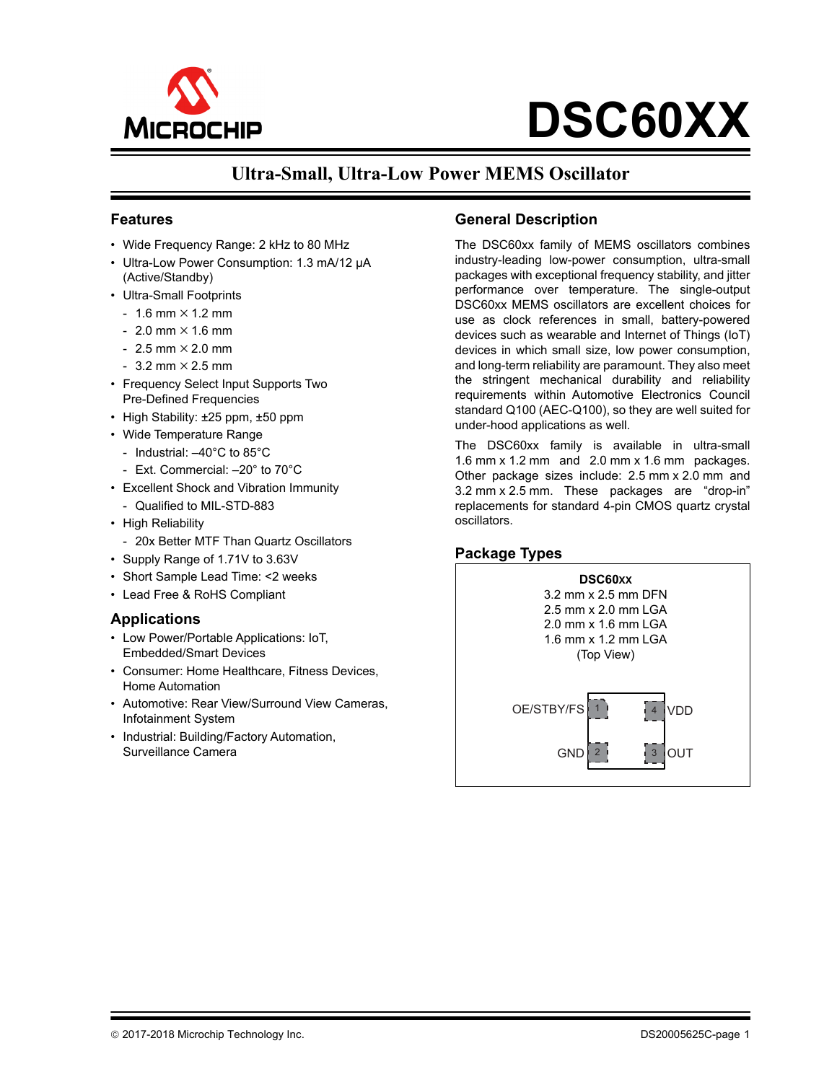

**DSC60XX**

# **Ultra-Small, Ultra-Low Power MEMS Oscillator**

#### **Features**

- Wide Frequency Range: 2 kHz to 80 MHz
- Ultra-Low Power Consumption: 1.3 mA/12 µA (Active/Standby)
- Ultra-Small Footprints
	- $-1.6$  mm  $\times$  1.2 mm
	- $-2.0$  mm  $\times$  1.6 mm
	- $-2.5$  mm  $\times$  2.0 mm
	- $-3.2$  mm  $\times$  2.5 mm
- Frequency Select Input Supports Two Pre-Defined Frequencies
- High Stability: ±25 ppm, ±50 ppm
- Wide Temperature Range
	- Industrial: –40°C to 85°C
	- Ext. Commercial: –20° to 70°C
- Excellent Shock and Vibration Immunity
	- Qualified to MIL-STD-883
- High Reliability
	- 20x Better MTF Than Quartz Oscillators
- Supply Range of 1.71V to 3.63V
- Short Sample Lead Time: <2 weeks
- Lead Free & RoHS Compliant

#### **Applications**

- Low Power/Portable Applications: IoT, Embedded/Smart Devices
- Consumer: Home Healthcare, Fitness Devices, Home Automation
- Automotive: Rear View/Surround View Cameras, Infotainment System
- Industrial: Building/Factory Automation, Surveillance Camera

#### **General Description**

The DSC60xx family of MEMS oscillators combines industry-leading low-power consumption, ultra-small packages with exceptional frequency stability, and jitter performance over temperature. The single-output DSC60xx MEMS oscillators are excellent choices for use as clock references in small, battery-powered devices such as wearable and Internet of Things (IoT) devices in which small size, low power consumption, and long-term reliability are paramount. They also meet the stringent mechanical durability and reliability requirements within Automotive Electronics Council standard Q100 (AEC-Q100), so they are well suited for under-hood applications as well.

The DSC60xx family is available in ultra-small 1.6 mm x 1.2 mm and 2.0 mm x 1.6 mm packages. Other package sizes include: 2.5 mm x 2.0 mm and 3.2 mm x 2.5 mm. These packages are "drop-in" replacements for standard 4-pin CMOS quartz crystal oscillators.

#### **Package Types**

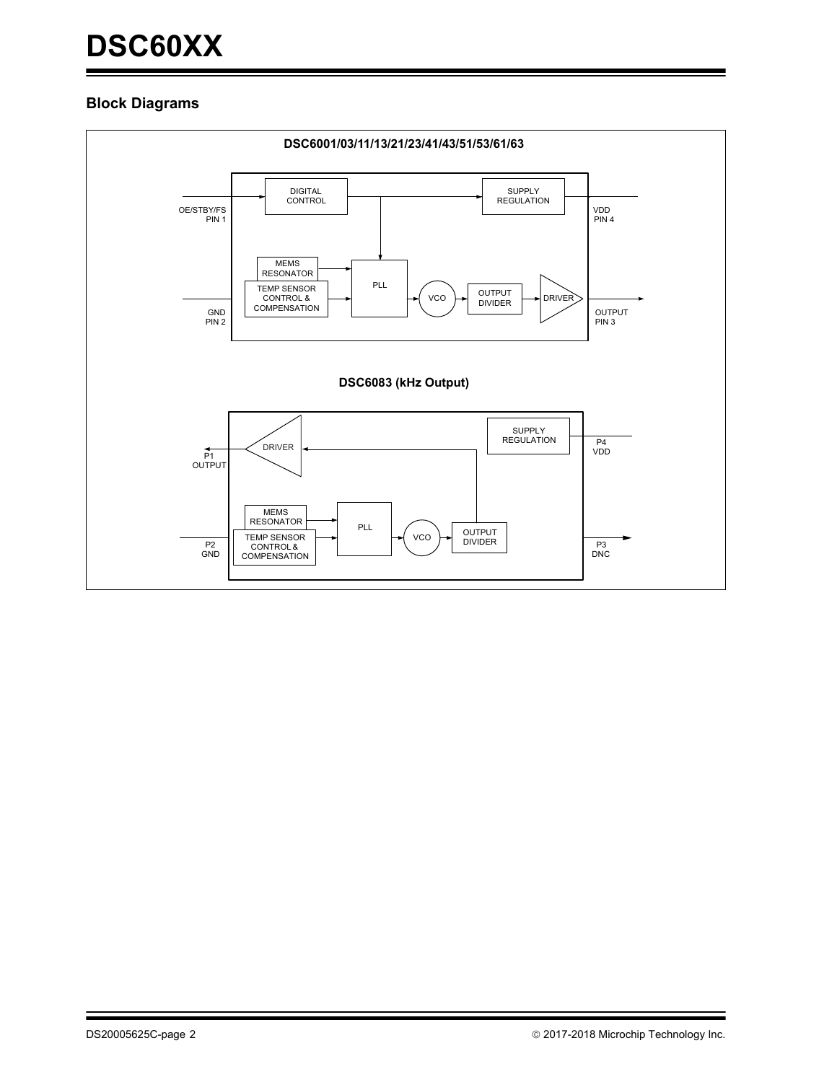#### **Block Diagrams**

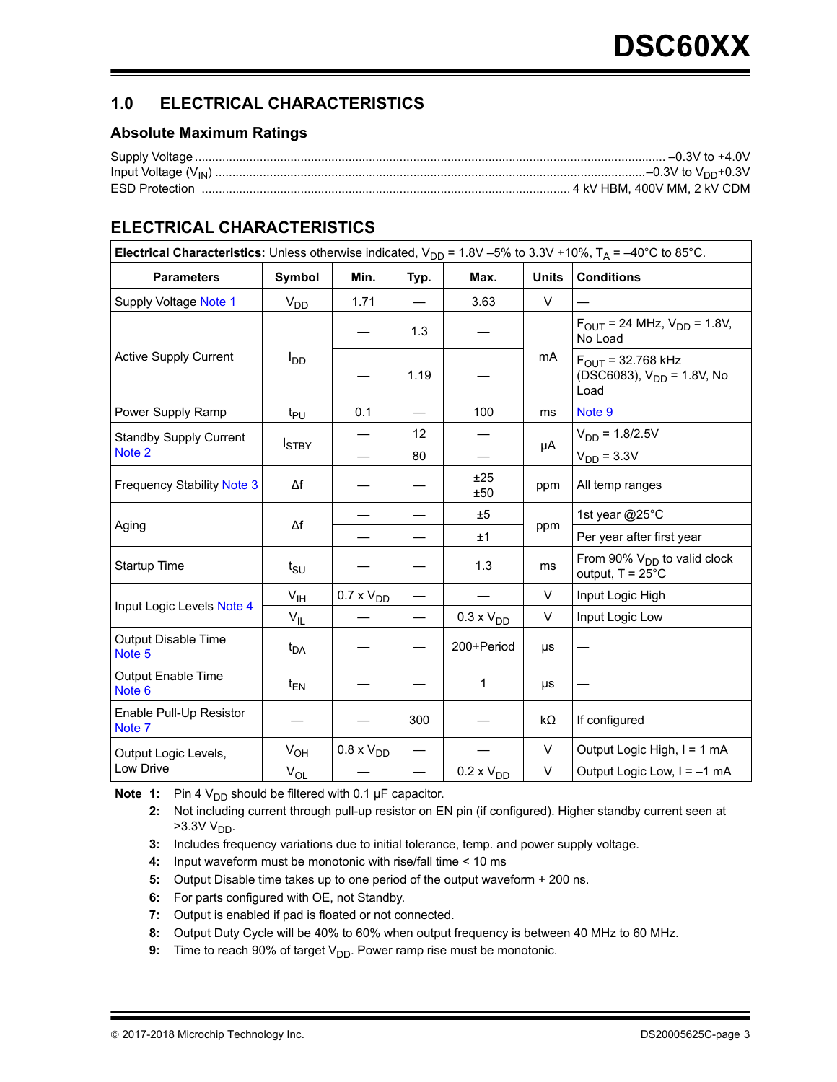# **1.0 ELECTRICAL CHARACTERISTICS**

#### **Absolute Maximum Ratings**

| <b>ESD Protection</b> |  |
|-----------------------|--|

# <span id="page-2-9"></span>**ELECTRICAL CHARACTERISTICS**

| Electrical Characteristics: Unless otherwise indicated, $V_{DD}$ = 1.8V -5% to 3.3V +10%, $T_A$ = -40°C to 85°C. |                 |                     |      |                     |              |                                                                       |  |  |
|------------------------------------------------------------------------------------------------------------------|-----------------|---------------------|------|---------------------|--------------|-----------------------------------------------------------------------|--|--|
| <b>Parameters</b>                                                                                                | Symbol          | Min.                | Typ. | Max.                | <b>Units</b> | <b>Conditions</b>                                                     |  |  |
| Supply Voltage Note 1                                                                                            | V <sub>DD</sub> | 1.71                |      | 3.63                | $\vee$       |                                                                       |  |  |
|                                                                                                                  |                 |                     | 1.3  |                     |              | $F_{OUIT}$ = 24 MHz, $V_{DD}$ = 1.8V,<br>No Load                      |  |  |
| <b>Active Supply Current</b>                                                                                     | l <sub>DD</sub> |                     | 1.19 |                     | mA           | $F_{OUIT}$ = 32.768 kHz<br>(DSC6083), $V_{DD} = 1.8V$ , No<br>Load    |  |  |
| Power Supply Ramp                                                                                                | t <sub>PU</sub> | 0.1                 |      | 100                 | ms           | Note 9                                                                |  |  |
| <b>Standby Supply Current</b>                                                                                    | <b>I</b> STBY   |                     | 12   |                     |              | $V_{DD} = 1.8/2.5V$                                                   |  |  |
| Note 2                                                                                                           |                 |                     | 80   |                     | μA           | $V_{DD} = 3.3V$                                                       |  |  |
| <b>Frequency Stability Note 3</b>                                                                                | $\Delta f$      |                     |      | ±25<br>±50          | ppm          | All temp ranges                                                       |  |  |
|                                                                                                                  | Δf              |                     |      | ±5                  |              | 1st year @25°C                                                        |  |  |
| Aging                                                                                                            |                 |                     |      | ±1                  | ppm          | Per year after first year                                             |  |  |
| Startup Time                                                                                                     | $t_{\text{SU}}$ |                     |      | 1.3                 | ms           | From 90% V <sub>DD</sub> to valid clock<br>output, $T = 25^{\circ}$ C |  |  |
|                                                                                                                  | $V_{\text{IH}}$ | $0.7 \times V_{DD}$ |      |                     | $\vee$       | Input Logic High                                                      |  |  |
| Input Logic Levels Note 4                                                                                        | $V_{IL}$        |                     |      | $0.3 \times V_{DD}$ | V            | Input Logic Low                                                       |  |  |
| <b>Output Disable Time</b><br>Note 5                                                                             | t <sub>DA</sub> |                     |      | 200+Period          | μs           |                                                                       |  |  |
| <b>Output Enable Time</b><br>Note 6                                                                              | $t_{EN}$        |                     |      | 1                   | μs           |                                                                       |  |  |
| Enable Pull-Up Resistor<br>Note 7                                                                                |                 |                     | 300  |                     | kΩ           | If configured                                                         |  |  |
| Output Logic Levels,                                                                                             | $V_{OH}$        | $0.8 \times V_{DD}$ |      |                     | V            | Output Logic High, I = 1 mA                                           |  |  |
| Low Drive                                                                                                        | $V_{OL}$        |                     |      | $0.2 \times VDD$    | V            | Output Logic Low, $I = -1$ mA                                         |  |  |

<span id="page-2-1"></span><span id="page-2-0"></span>**Note 1:** Pin 4  $V_{DD}$  should be filtered with 0.1  $\mu$ F capacitor.

**2:** Not including current through pull-up resistor on EN pin (if configured). Higher standby current seen at  $>3.3V$  V<sub>DD</sub>.

- <span id="page-2-2"></span>**3:** Includes frequency variations due to initial tolerance, temp. and power supply voltage.
- <span id="page-2-3"></span>**4:** Input waveform must be monotonic with rise/fall time < 10 ms
- <span id="page-2-4"></span>**5:** Output Disable time takes up to one period of the output waveform + 200 ns.
- <span id="page-2-5"></span>**6:** For parts configured with OE, not Standby.
- <span id="page-2-6"></span>**7:** Output is enabled if pad is floated or not connected.
- <span id="page-2-8"></span>**8:** Output Duty Cycle will be 40% to 60% when output frequency is between 40 MHz to 60 MHz.
- <span id="page-2-7"></span>**9:** Time to reach 90% of target V<sub>DD</sub>. Power ramp rise must be monotonic.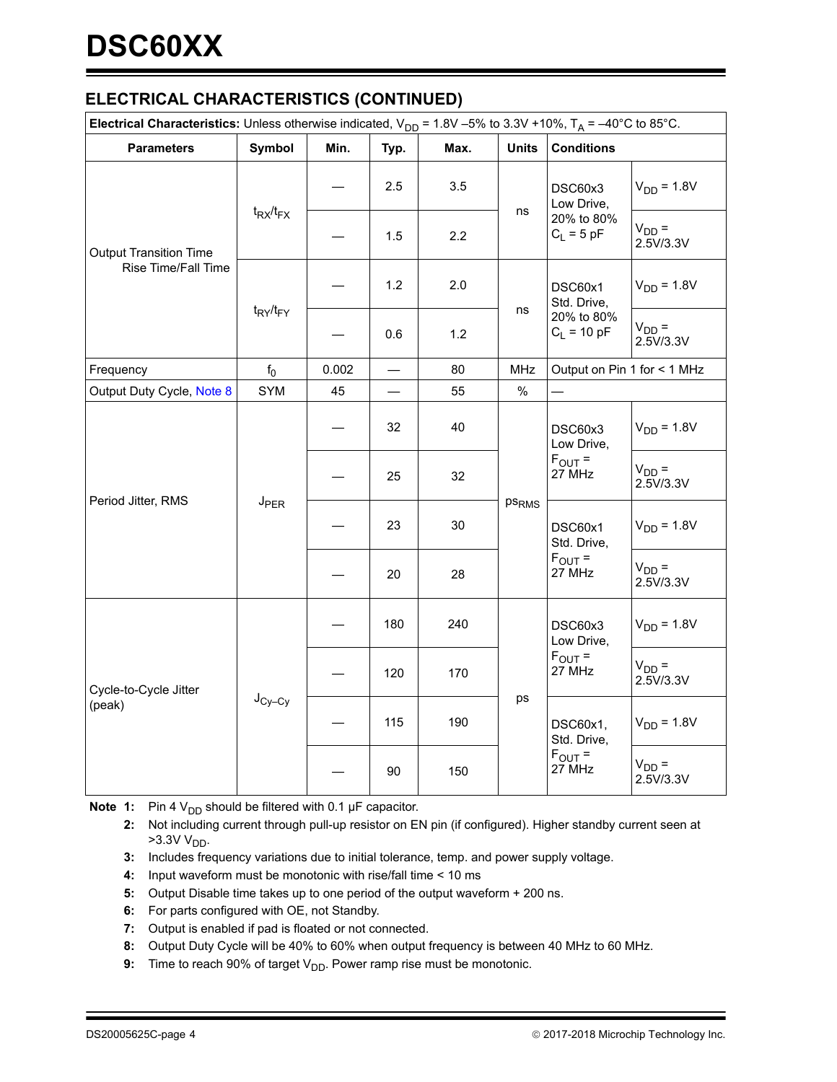## **ELECTRICAL CHARACTERISTICS (CONTINUED)**

| <b>Electrical Characteristics:</b> Unless otherwise indicated, $V_{DD}$ = 1.8V -5% to 3.3V +10%, $T_A$ = -40°C to 85°C. |                  |                                                      |                             |                         |                   |                                                 |                         |
|-------------------------------------------------------------------------------------------------------------------------|------------------|------------------------------------------------------|-----------------------------|-------------------------|-------------------|-------------------------------------------------|-------------------------|
| <b>Parameters</b>                                                                                                       | Symbol           | Min.                                                 | Typ.                        | Max.                    | <b>Units</b>      | <b>Conditions</b>                               |                         |
| <b>Output Transition Time</b>                                                                                           |                  |                                                      | 2.5                         | 3.5                     |                   | DSC60x3<br>Low Drive,                           | $V_{DD} = 1.8V$         |
|                                                                                                                         | $t_{RX}/t_{FX}$  |                                                      | 1.5                         | 2.2                     | ns                | 20% to 80%<br>$C_L = 5$ pF                      | $V_{DD} =$<br>2.5V/3.3V |
| Rise Time/Fall Time                                                                                                     |                  |                                                      | 1.2                         | 2.0                     |                   | DSC60x1<br>Std. Drive,                          | $V_{DD} = 1.8V$         |
|                                                                                                                         |                  | t <sub>RY</sub> /t <sub>FY</sub><br>ns<br>1.2<br>0.6 | 20% to 80%<br>$C_1 = 10 pF$ | $V_{DD} =$<br>2.5V/3.3V |                   |                                                 |                         |
| Frequency                                                                                                               | $f_0$            | 0.002                                                | $\qquad \qquad$             | 80                      | <b>MHz</b>        | Output on Pin 1 for < 1 MHz                     |                         |
| Output Duty Cycle, Note 8                                                                                               | <b>SYM</b>       | 45                                                   |                             | 55                      | $\%$              |                                                 |                         |
|                                                                                                                         |                  |                                                      | 32                          | 40                      |                   | DSC60x3<br>Low Drive,                           | $V_{DD} = 1.8V$         |
| Period Jitter, RMS                                                                                                      |                  |                                                      | 25                          | 32                      |                   | $F_{OUT} =$<br>27 MHz                           | $V_{DD} =$<br>2.5V/3.3V |
|                                                                                                                         | J <sub>PER</sub> |                                                      | 23                          | 30                      | ps <sub>RMS</sub> | DSC60x1<br>Std. Drive,<br>$F_{OUT} =$<br>27 MHz | $V_{DD} = 1.8V$         |
|                                                                                                                         |                  |                                                      | 20                          | 28                      |                   |                                                 | $V_{DD} =$<br>2.5V/3.3V |
| Cycle-to-Cycle Jitter<br>(peak)                                                                                         |                  |                                                      | 180                         | 240                     |                   | DSC60x3<br>Low Drive,<br>$F_{OUT} =$<br>27 MHz  | $V_{DD} = 1.8V$         |
|                                                                                                                         |                  |                                                      | 120                         | 170                     |                   |                                                 | $V_{DD} =$<br>2.5V/3.3V |
|                                                                                                                         | $J_{Cy-Cy}$      |                                                      | 115                         | 190                     | ps                | DSC60x1,<br>Std. Drive,                         | $V_{DD} = 1.8V$         |
|                                                                                                                         |                  |                                                      | 90                          | 150                     |                   | $F_{\text{OUT}} =$<br>27 MHz                    | $V_{DD} =$<br>2.5V/3.3V |

**Note 1:** Pin 4  $V_{DD}$  should be filtered with 0.1  $\mu$ F capacitor.

- **2:** Not including current through pull-up resistor on EN pin (if configured). Higher standby current seen at  $>3.3V$  V<sub>DD</sub>.
- **3:** Includes frequency variations due to initial tolerance, temp. and power supply voltage.
- **4:** Input waveform must be monotonic with rise/fall time < 10 ms
- **5:** Output Disable time takes up to one period of the output waveform + 200 ns.
- **6:** For parts configured with OE, not Standby.
- **7:** Output is enabled if pad is floated or not connected.
- **8:** Output Duty Cycle will be 40% to 60% when output frequency is between 40 MHz to 60 MHz.
- **9:** Time to reach 90% of target V<sub>DD</sub>. Power ramp rise must be monotonic.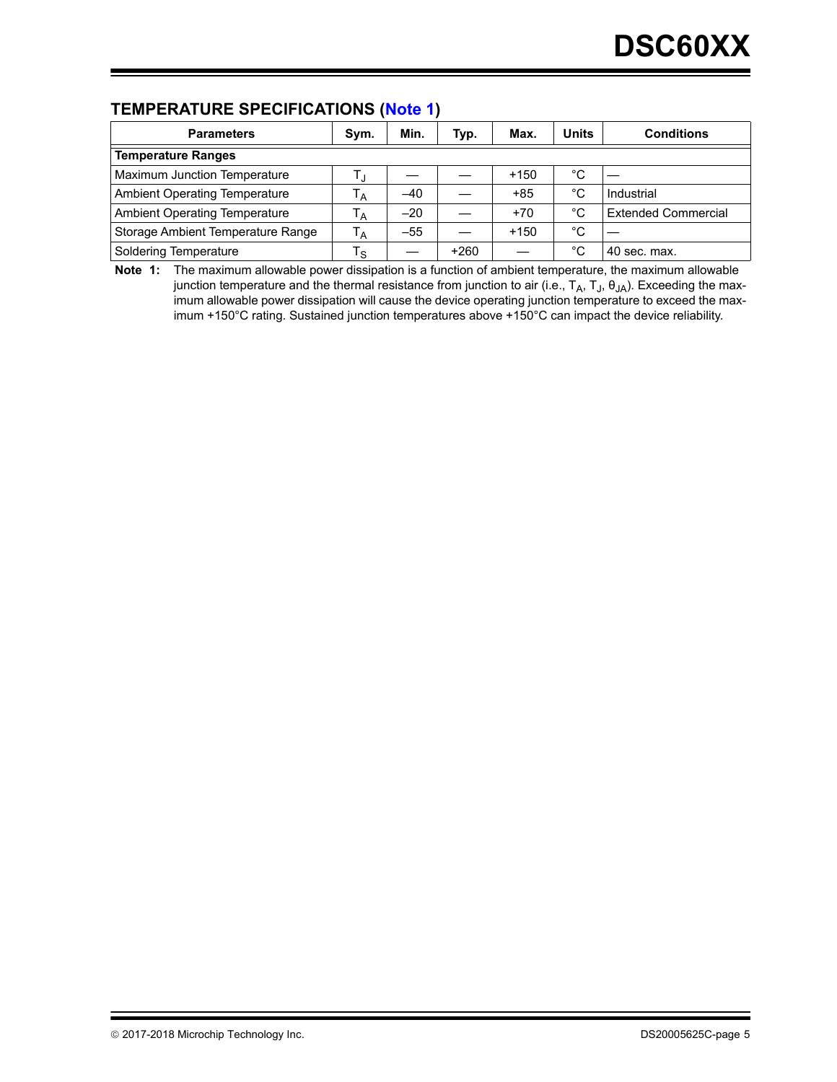## **TEMPERATURE SPECIFICATIONS ([Note 1](#page-4-0))**

| <b>Parameters</b>                    | Sym.                    | Min.  | Typ.   | Max.   | <b>Units</b> | <b>Conditions</b>          |  |  |
|--------------------------------------|-------------------------|-------|--------|--------|--------------|----------------------------|--|--|
| <b>Temperature Ranges</b>            |                         |       |        |        |              |                            |  |  |
| Maximum Junction Temperature         |                         |       |        | $+150$ | °С           |                            |  |  |
| <b>Ambient Operating Temperature</b> | Ά                       | $-40$ |        | $+85$  | °C           | Industrial                 |  |  |
| <b>Ambient Operating Temperature</b> | ' A                     | $-20$ |        | $+70$  | °C           | <b>Extended Commercial</b> |  |  |
| Storage Ambient Temperature Range    | $T_A$                   | $-55$ |        | $+150$ | °C           |                            |  |  |
| Soldering Temperature                | $\mathsf{T}_\mathsf{S}$ |       | $+260$ |        | °C           | 40 sec. max.               |  |  |

<span id="page-4-0"></span>**Note 1:** The maximum allowable power dissipation is a function of ambient temperature, the maximum allowable junction temperature and the thermal resistance from junction to air (i.e.,  $T_A$ ,  $T_J$ ,  $\theta_{JA}$ ). Exceeding the maximum allowable power dissipation will cause the device operating junction temperature to exceed the maximum +150°C rating. Sustained junction temperatures above +150°C can impact the device reliability.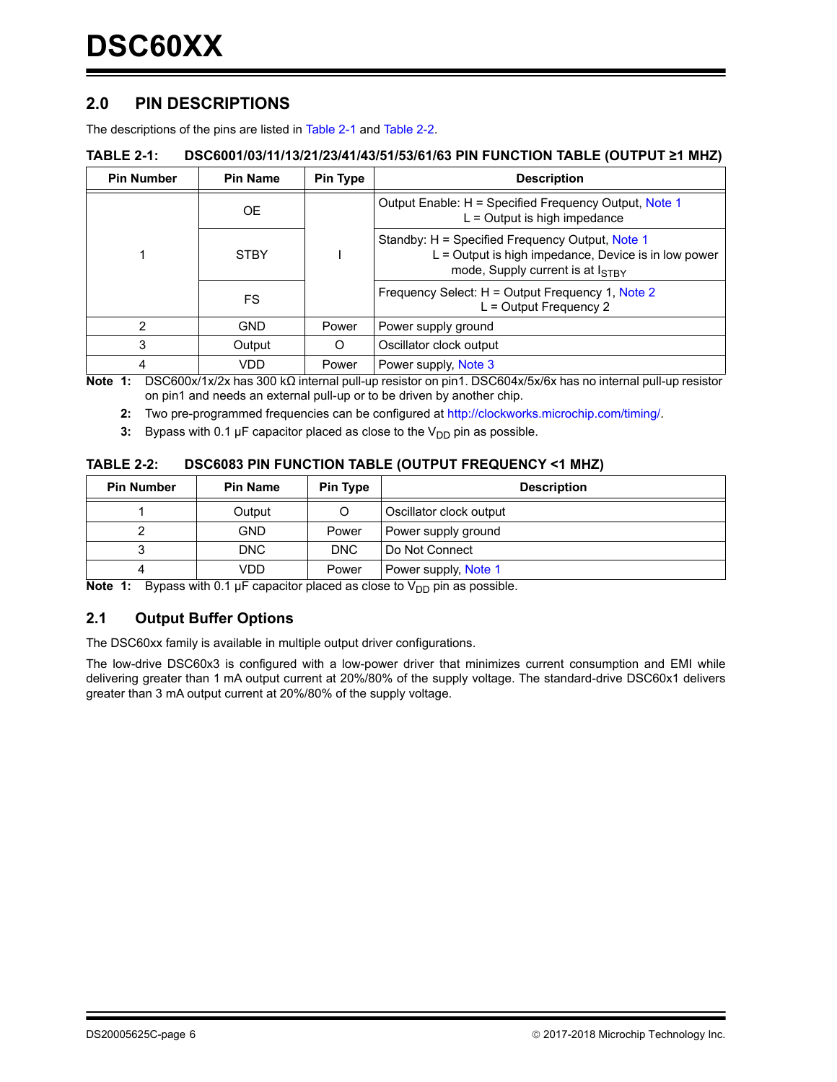### **2.0 PIN DESCRIPTIONS**

The descriptions of the pins are listed in [Table 2-1](#page-5-0) and [Table 2-2.](#page-5-5)

#### <span id="page-5-0"></span>**TABLE 2-1: DSC6001/03/11/13/21/23/41/43/51/53/61/63 PIN FUNCTION TABLE (OUTPUT ≥1 MHZ)**

| <b>Pin Number</b> | <b>Pin Name</b> | Pin Type | <b>Description</b>                                                                                                                               |  |
|-------------------|-----------------|----------|--------------------------------------------------------------------------------------------------------------------------------------------------|--|
|                   | OE.             |          | Output Enable: H = Specified Frequency Output, Note 1<br>$L =$ Output is high impedance                                                          |  |
|                   | <b>STBY</b>     |          | Standby: H = Specified Frequency Output, Note 1<br>L = Output is high impedance, Device is in low power<br>mode, Supply current is at $I_{STBY}$ |  |
|                   | FS.             |          | Frequency Select: H = Output Frequency 1, Note 2<br>$L =$ Output Frequency 2                                                                     |  |
| 2                 | <b>GND</b>      | Power    | Power supply ground                                                                                                                              |  |
| 3                 | Output          | Ω        | Oscillator clock output                                                                                                                          |  |
| 4                 | VDD             | Power    | Power supply, Note 3                                                                                                                             |  |

<span id="page-5-2"></span><span id="page-5-1"></span>**Note 1:** DSC600x/1x/2x has 300 kΩ internal pull-up resistor on pin1. DSC604x/5x/6x has no internal pull-up resistor on pin1 and needs an external pull-up or to be driven by another chip.

**2:** Two pre-programmed frequencies can be configured at http://clockworks.microchip.com/timing/.

<span id="page-5-3"></span>**3:** Bypass with 0.1  $\mu$ F capacitor placed as close to the  $V_{DD}$  pin as possible.

#### <span id="page-5-5"></span>**TABLE 2-2: DSC6083 PIN FUNCTION TABLE (OUTPUT FREQUENCY <1 MHZ)**

| <b>Pin Number</b> | <b>Pin Name</b> | <b>Pin Type</b> | <b>Description</b>      |  |  |
|-------------------|-----------------|-----------------|-------------------------|--|--|
|                   | Output          | O               | Oscillator clock output |  |  |
|                   | <b>GND</b>      | Power           | Power supply ground     |  |  |
| د                 | DNC             | <b>DNC</b>      | Do Not Connect          |  |  |
| 4                 | VDD             | Power           | Power supply, Note 1    |  |  |

<span id="page-5-4"></span>**Note 1:** Bypass with 0.1  $\mu$ F capacitor placed as close to  $V_{DD}$  pin as possible.

#### **2.1 Output Buffer Options**

The DSC60xx family is available in multiple output driver configurations.

The low-drive DSC60x3 is configured with a low-power driver that minimizes current consumption and EMI while delivering greater than 1 mA output current at 20%/80% of the supply voltage. The standard-drive DSC60x1 delivers greater than 3 mA output current at 20%/80% of the supply voltage.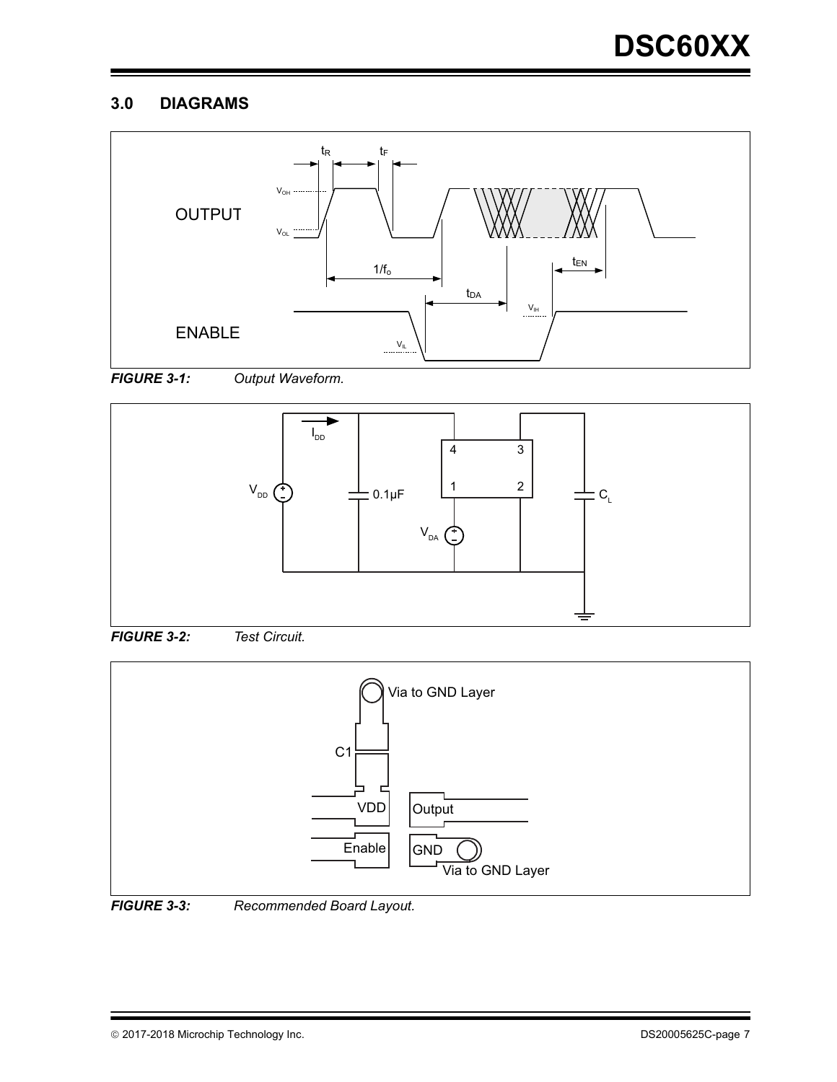# **3.0 DIAGRAMS**













*FIGURE 3-3: Recommended Board Layout.*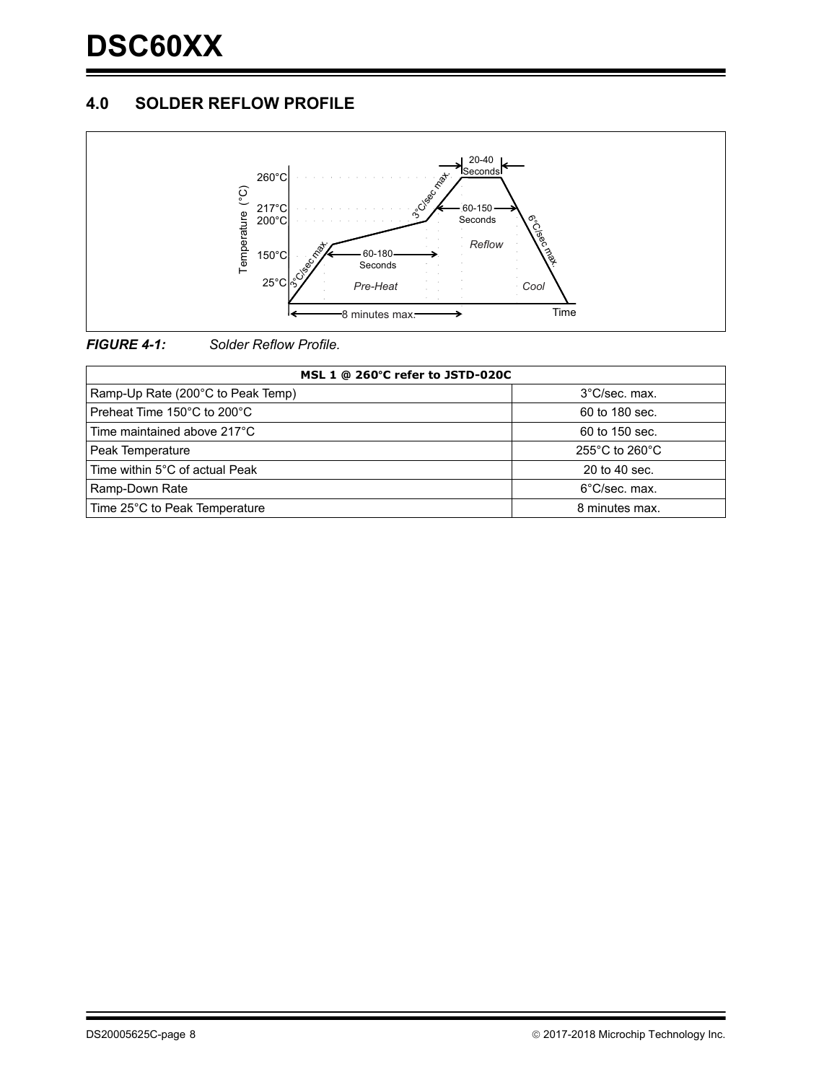# **4.0 SOLDER REFLOW PROFILE**





| MSL 1 @ 260°C refer to JSTD-020C  |                |  |  |  |  |  |
|-----------------------------------|----------------|--|--|--|--|--|
| Ramp-Up Rate (200°C to Peak Temp) | 3°C/sec. max.  |  |  |  |  |  |
| Preheat Time 150°C to 200°C       | 60 to 180 sec. |  |  |  |  |  |
| Time maintained above 217°C       | 60 to 150 sec. |  |  |  |  |  |
| Peak Temperature                  | 255°C to 260°C |  |  |  |  |  |
| Time within 5°C of actual Peak    | 20 to 40 sec.  |  |  |  |  |  |
| Ramp-Down Rate                    | 6°C/sec. max.  |  |  |  |  |  |
| Time 25°C to Peak Temperature     | 8 minutes max. |  |  |  |  |  |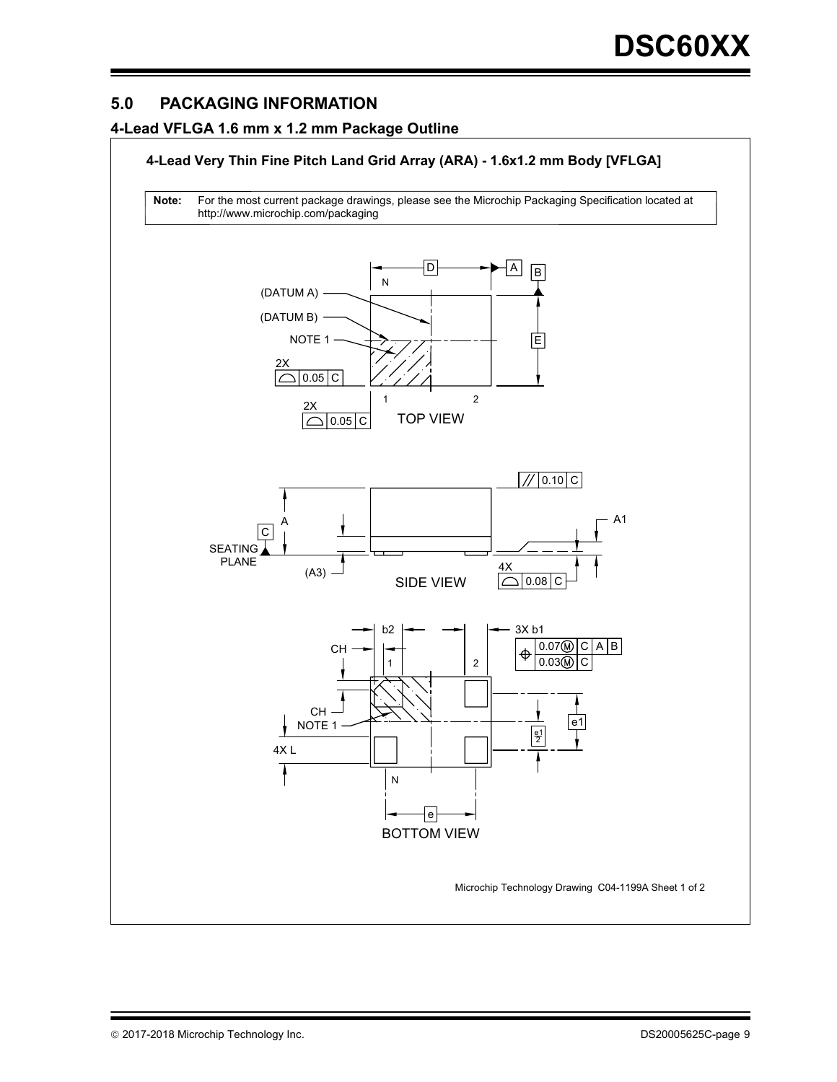# **5.0 PACKAGING INFORMATION**

#### **4-Lead VFLGA 1.6 mm x 1.2 mm Package Outline**

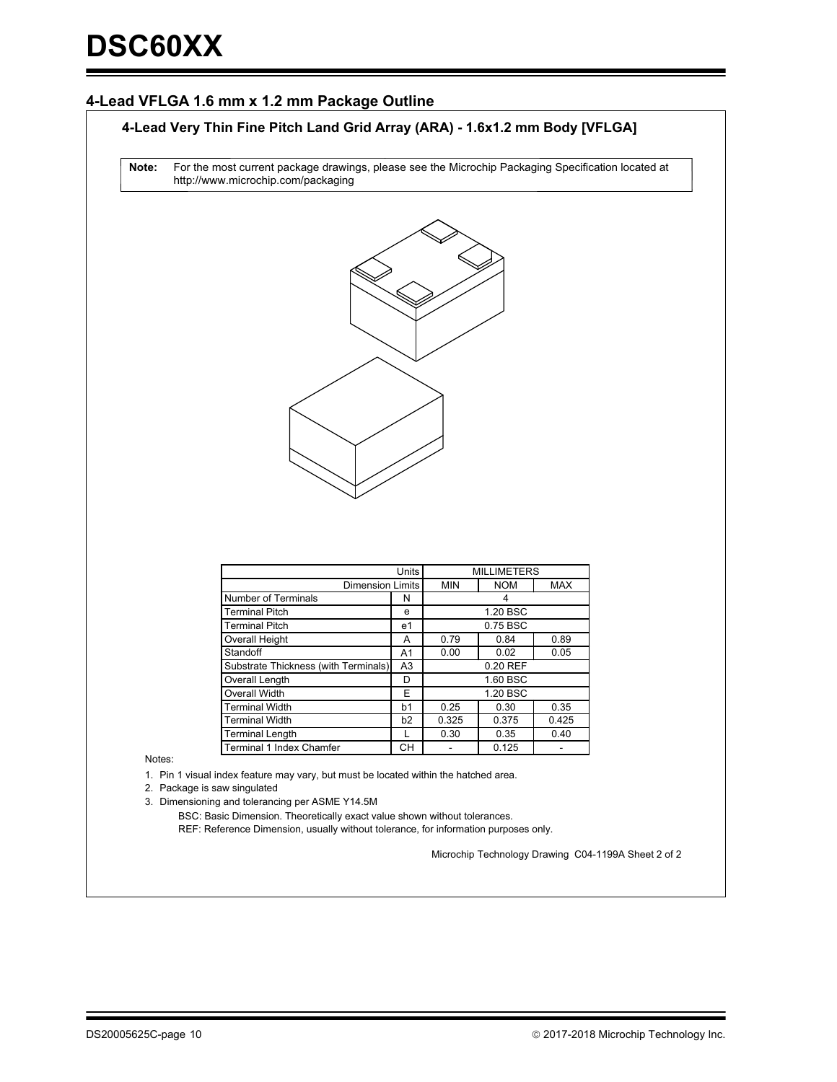#### **4-Lead VFLGA 1.6 mm x 1.2 mm Package Outline**

#### **4-Lead Very Thin Fine Pitch Land Grid Array (ARA) - 1.6x1.2 mm Body [VFLGA]**

For the most current package drawings, please see the Microchip Packaging Specification located at http://www.microchip.com/packaging **Note:**



|                                      |       | <b>MILLIMETERS</b> |            |            |  |  |
|--------------------------------------|-------|--------------------|------------|------------|--|--|
| <b>Dimension Limits</b>              | Units | <b>MIN</b>         | <b>NOM</b> | <b>MAX</b> |  |  |
| Number of Terminals                  | N     |                    | 4          |            |  |  |
| <b>Terminal Pitch</b>                | e     |                    | 1.20 BSC   |            |  |  |
| Terminal Pitch                       | e1    | 0.75 BSC           |            |            |  |  |
| <b>Overall Height</b>                | A     | 0.79               | 0.84       | 0.89       |  |  |
| Standoff                             | A1    | 0.00               | 0.02       | 0.05       |  |  |
| Substrate Thickness (with Terminals) | A3    | 0.20 REF           |            |            |  |  |
| Overall Length                       | D     | 1.60 BSC           |            |            |  |  |
| Overall Width                        | Е     | 1.20 BSC           |            |            |  |  |
| <b>Terminal Width</b>                | b1    | 0.25               | 0.30       | 0.35       |  |  |
| <b>Terminal Width</b>                | b2    | 0.325              | 0.375      | 0.425      |  |  |
| <b>Terminal Length</b>               |       | 0.30               | 0.35       | 0.40       |  |  |
| <b>Terminal 1 Index Chamfer</b>      | CН    |                    | 0.125      |            |  |  |

Notes:

1. Pin 1 visual index feature may vary, but must be located within the hatched area.

2. Package is saw singulated

3. Dimensioning and tolerancing per ASME Y14.5M

REF: Reference Dimension, usually without tolerance, for information purposes only. BSC: Basic Dimension. Theoretically exact value shown without tolerances.

Microchip Technology Drawing C04-1199A Sheet 2 of 2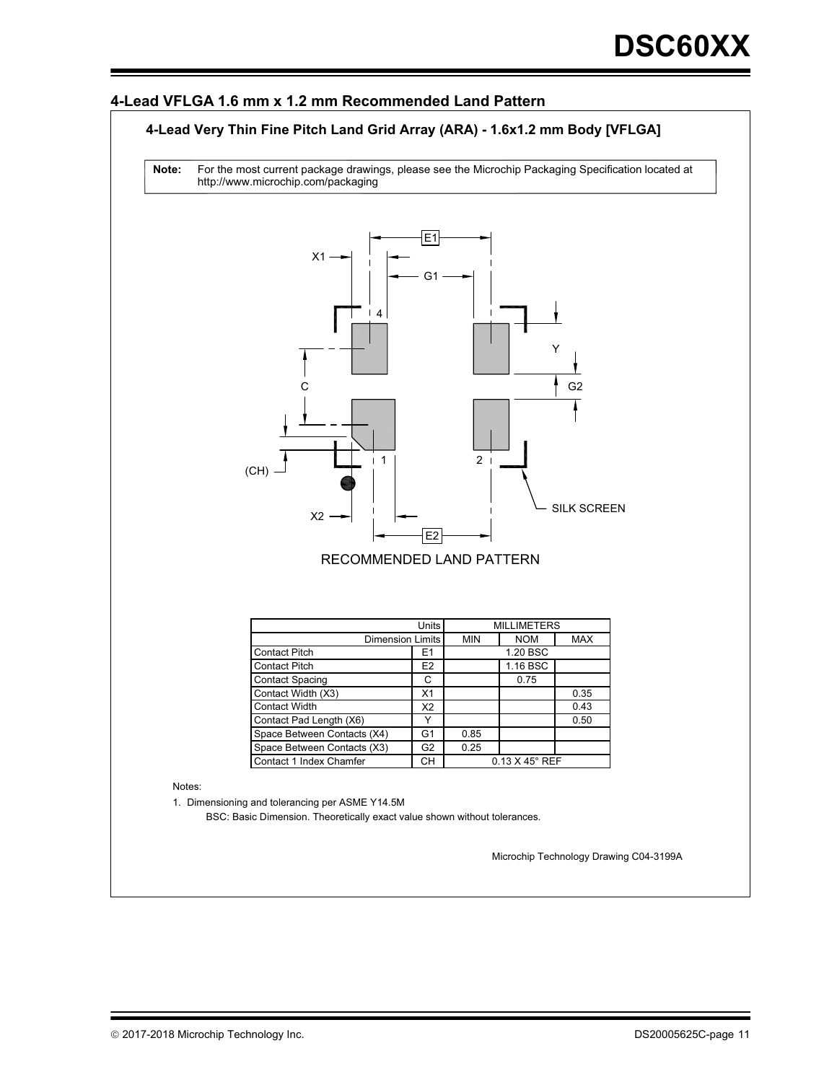#### **4-Lead VFLGA 1.6 mm x 1.2 mm Recommended Land Pattern**

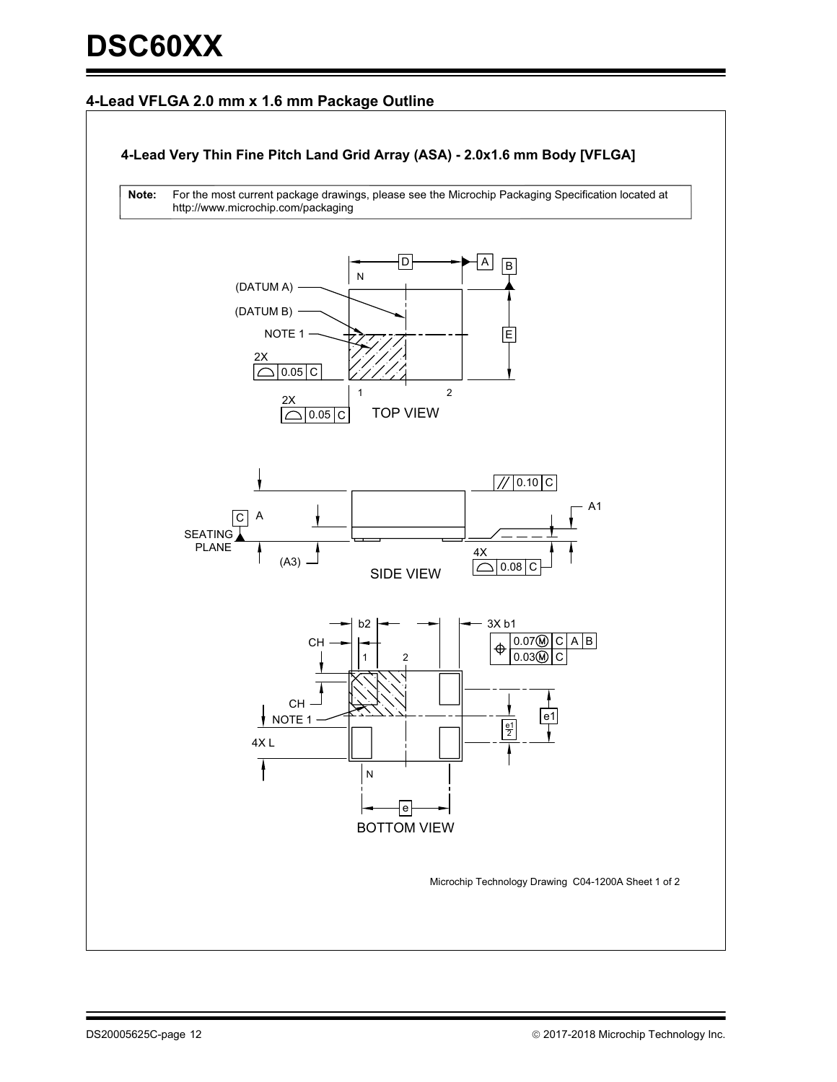### **4-Lead VFLGA 2.0 mm x 1.6 mm Package Outline**

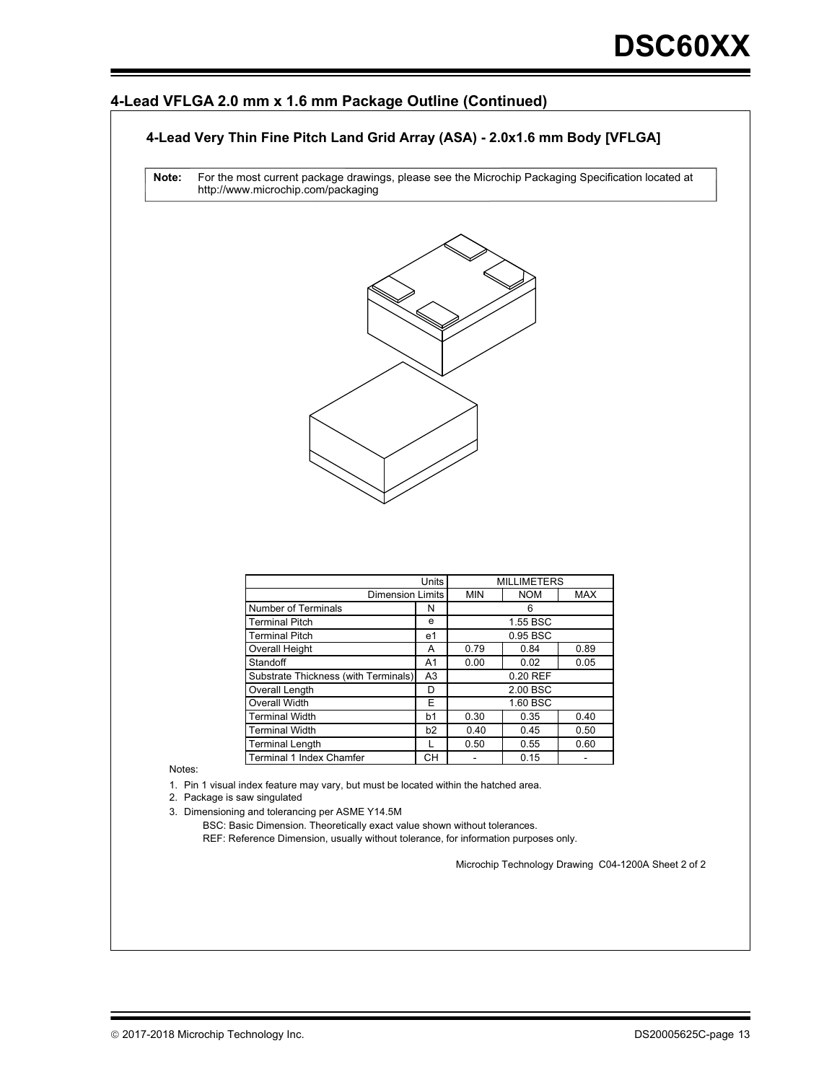#### **4-Lead VFLGA 2.0 mm x 1.6 mm Package Outline (Continued)**

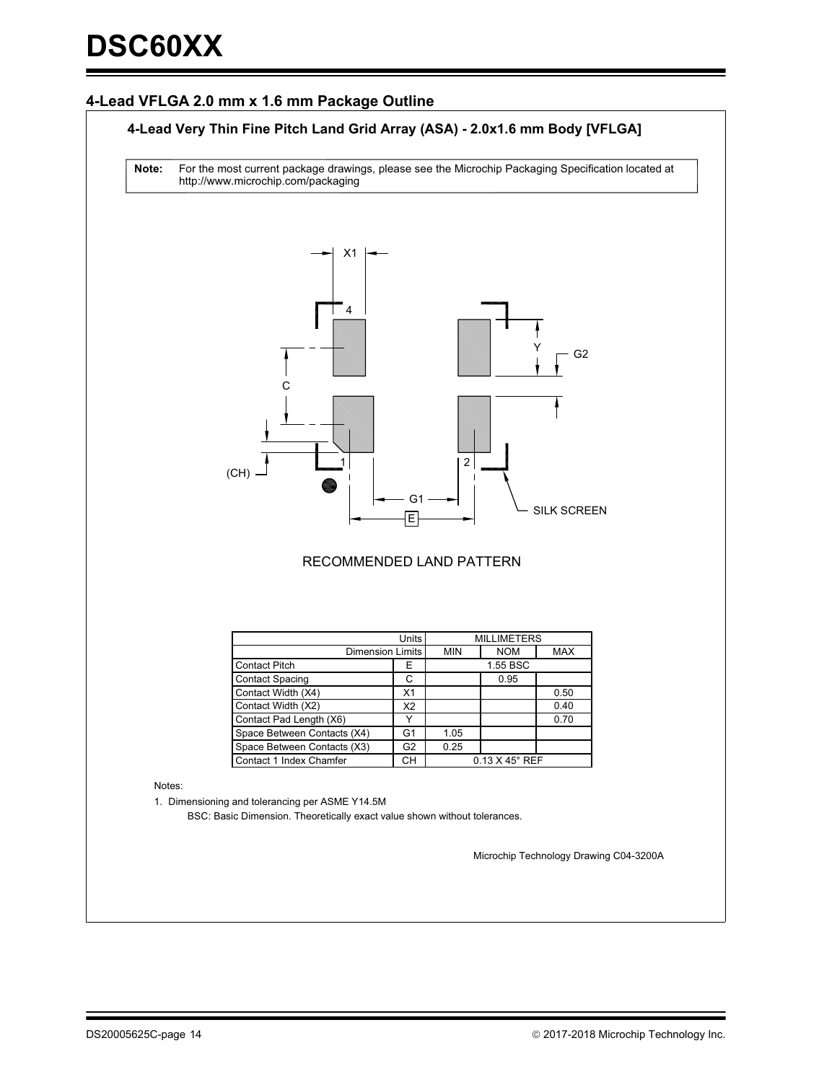#### **4-Lead VFLGA 2.0 mm x 1.6 mm Package Outline**

#### **4-Lead Very Thin Fine Pitch Land Grid Array (ASA) - 2.0x1.6 mm Body [VFLGA]**

For the most current package drawings, please see the Microchip Packaging Specification located at http://www.microchip.com/packaging **Note:**



#### RECOMMENDED LAND PATTERN

|                             | <b>MILLIMETERS</b> |            |                            |      |  |
|-----------------------------|--------------------|------------|----------------------------|------|--|
| <b>Dimension Limits</b>     | <b>MIN</b>         | <b>NOM</b> | <b>MAX</b>                 |      |  |
| <b>Contact Pitch</b>        | Е                  |            | 1.55 BSC                   |      |  |
| <b>Contact Spacing</b>      | С                  |            | 0.95                       |      |  |
| Contact Width (X4)          | X <sub>1</sub>     |            |                            | 0.50 |  |
| Contact Width (X2)          | X <sub>2</sub>     |            |                            | 0.40 |  |
| Contact Pad Length (X6)     |                    |            |                            | 0.70 |  |
| Space Between Contacts (X4) | G <sub>1</sub>     | 1.05       |                            |      |  |
| Space Between Contacts (X3) | 0.25               |            |                            |      |  |
| Contact 1 Index Chamfer     | CН                 |            | $0.13$ X 45 $^{\circ}$ REF |      |  |

Notes:

1. Dimensioning and tolerancing per ASME Y14.5M

BSC: Basic Dimension. Theoretically exact value shown without tolerances.

Microchip Technology Drawing C04-3200A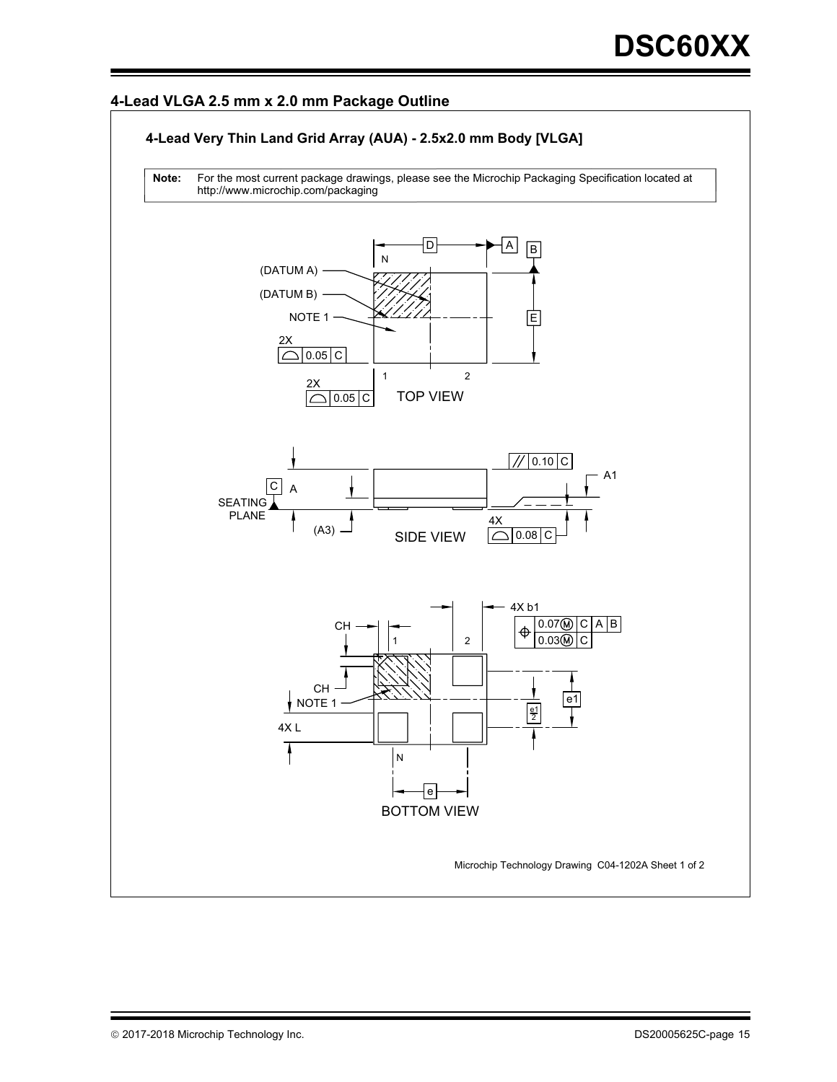#### **4-Lead VLGA 2.5 mm x 2.0 mm Package Outline**

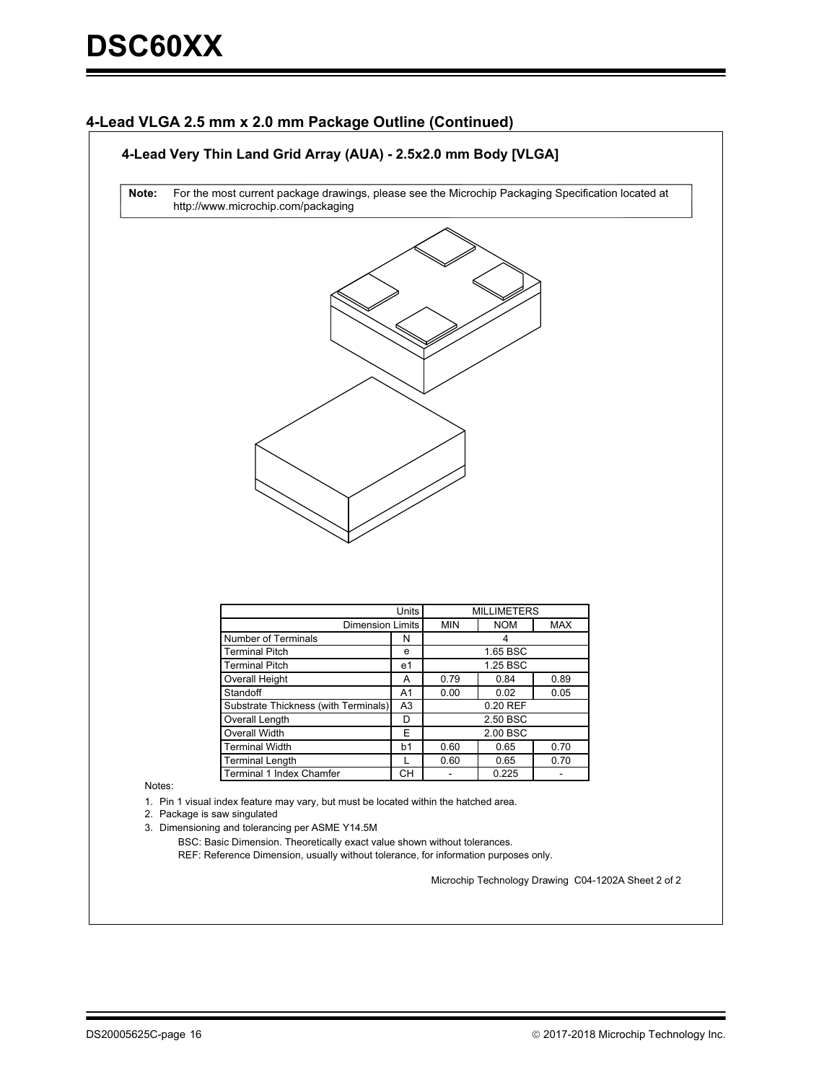#### **4-Lead VLGA 2.5 mm x 2.0 mm Package Outline (Continued)**



Notes:

1. Pin 1 visual index feature may vary, but must be located within the hatched area.

2. Package is saw singulated

3. Dimensioning and tolerancing per ASME Y14.5M

Terminal Length

REF: Reference Dimension, usually without tolerance, for information purposes only. BSC: Basic Dimension. Theoretically exact value shown without tolerances.

Terminal 1 Index Chamfer | CH | - | 0.225

L

0.60

0.65

Microchip Technology Drawing C04-1202A Sheet 2 of 2

0.70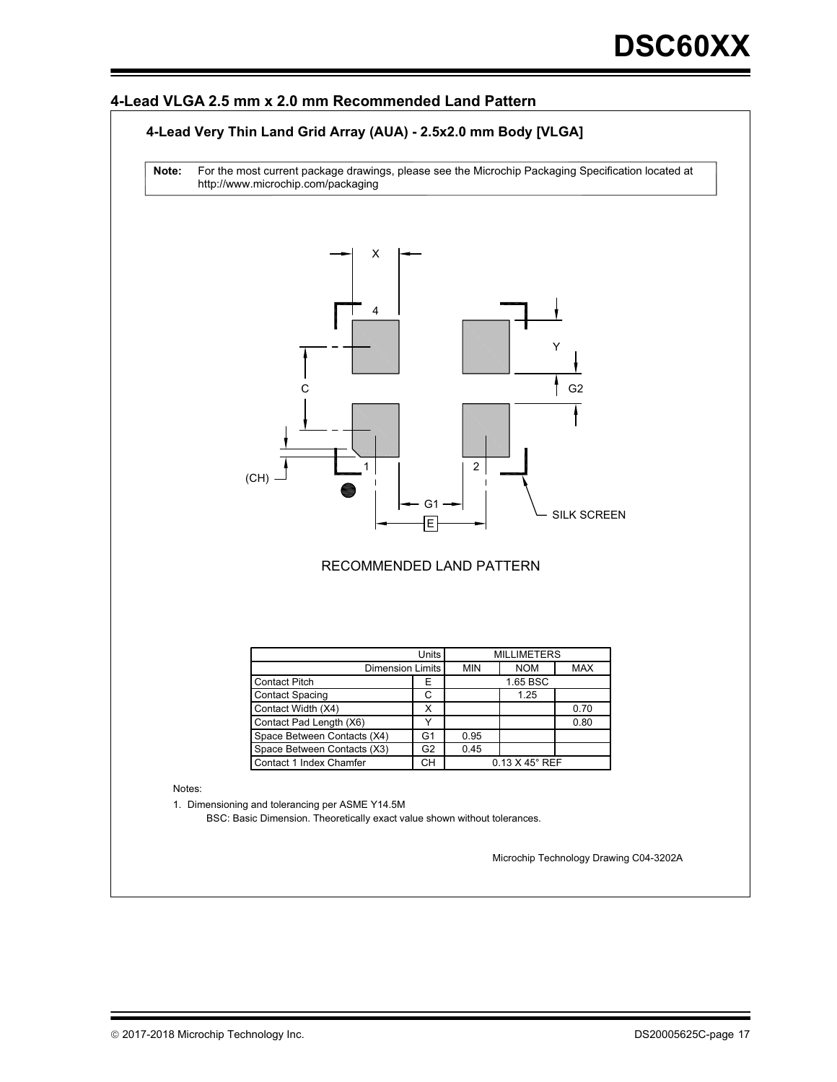#### **4-Lead VLGA 2.5 mm x 2.0 mm Recommended Land Pattern**

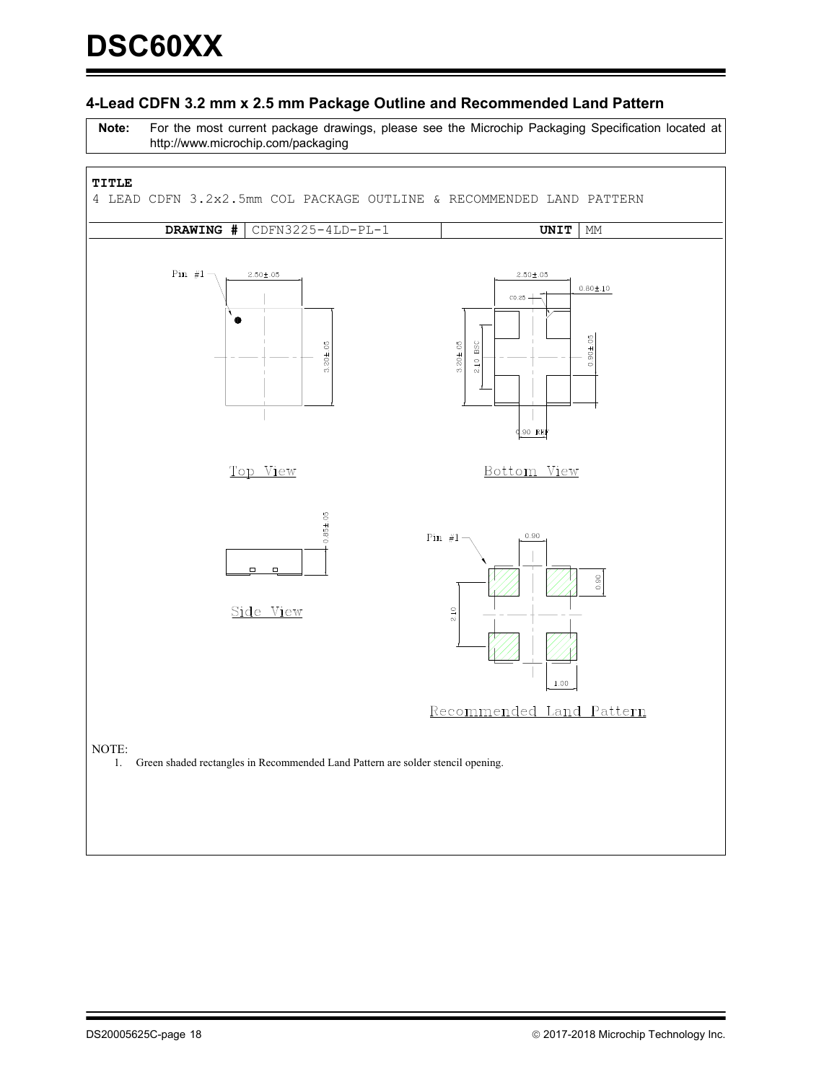#### **4-Lead CDFN 3.2 mm x 2.5 mm Package Outline and Recommended Land Pattern**

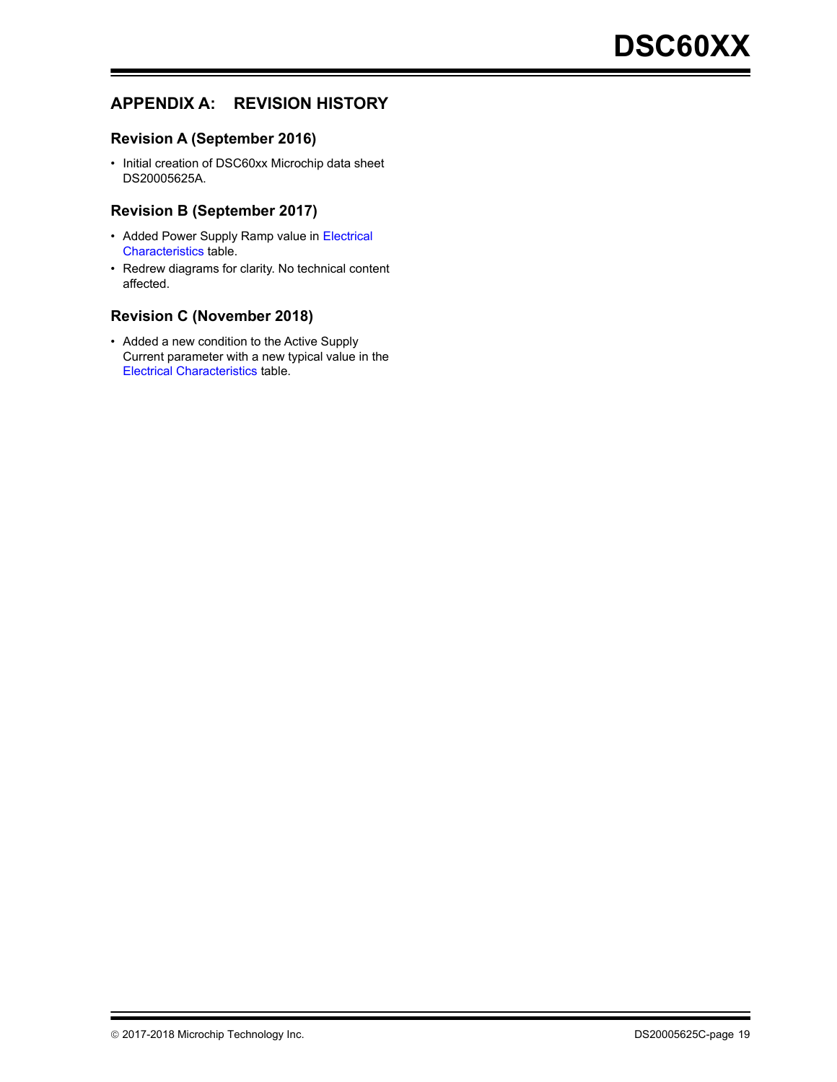# **APPENDIX A: REVISION HISTORY**

#### **Revision A (September 2016)**

• Initial creation of DSC60xx Microchip data sheet DS20005625A.

#### **Revision B (September 2017)**

- Added Power Supply Ramp value in Electrical [Characteristics](#page-2-9) table.
- Redrew diagrams for clarity. No technical content affected.

#### **Revision C (November 2018)**

• Added a new condition to the Active Supply Current parameter with a new typical value in the [Electrical Characteristics](#page-2-9) table.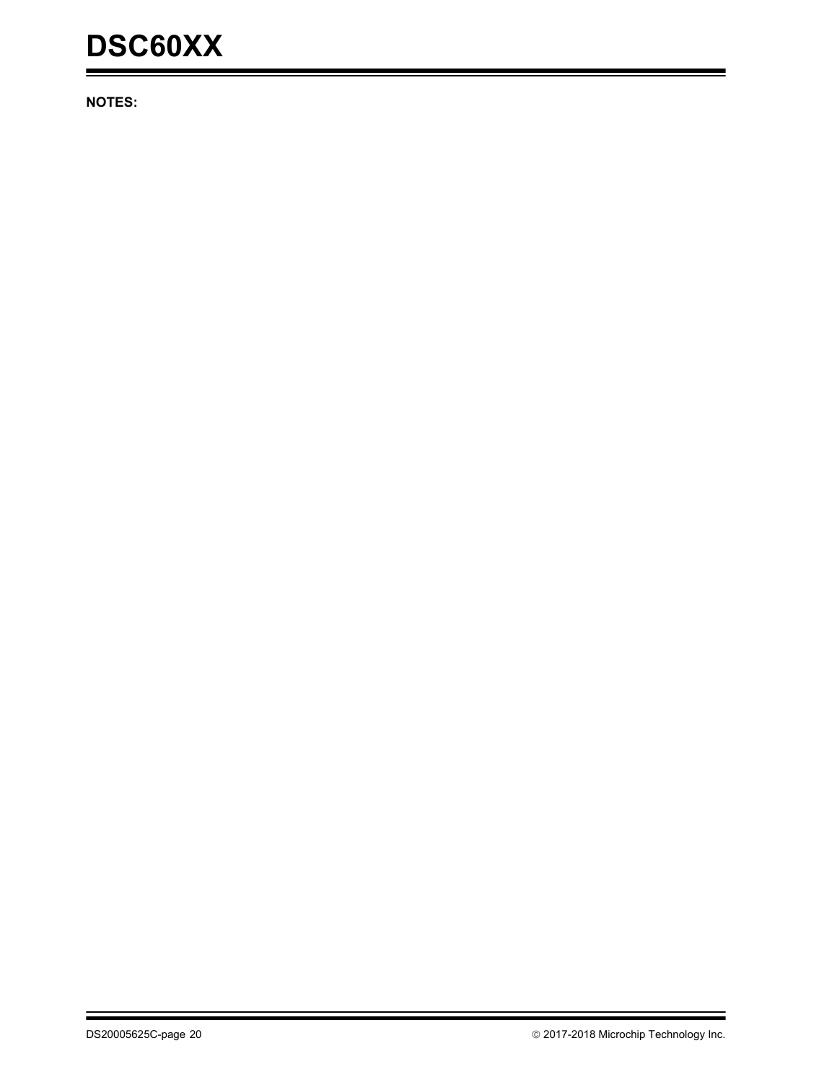# **DSC60XX**

**NOTES:**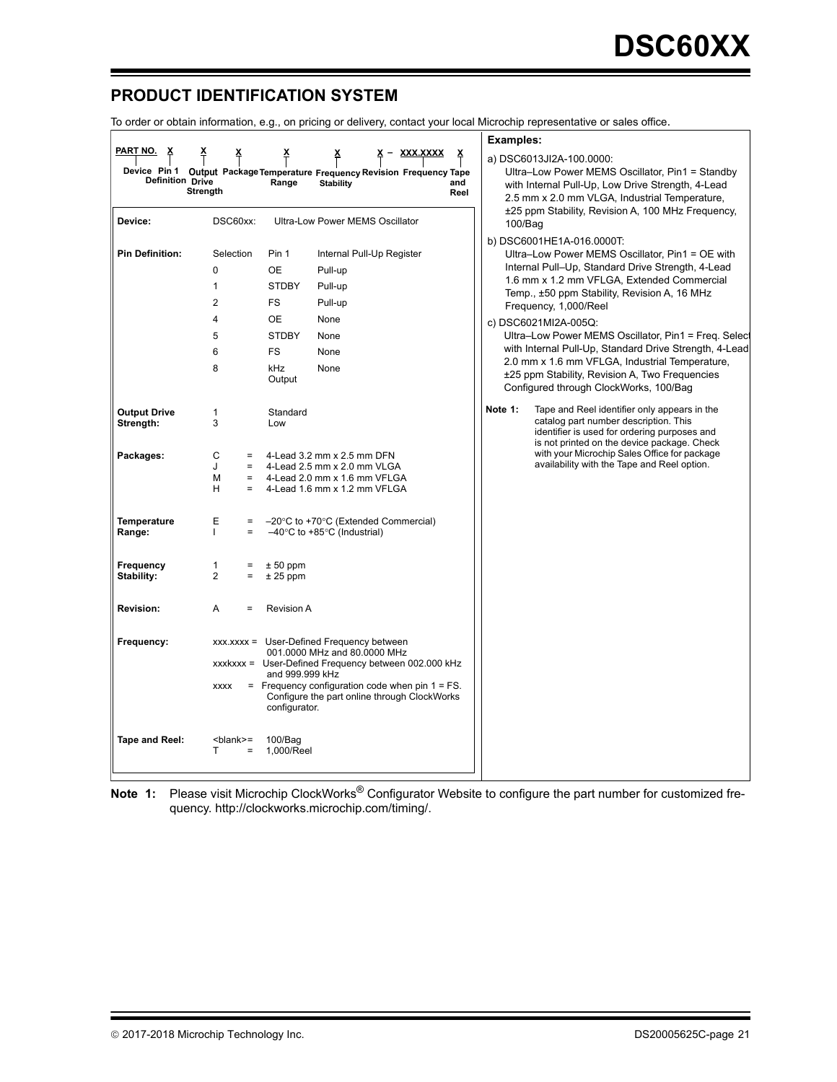# **PRODUCT IDENTIFICATION SYSTEM**

To order or obtain information, e.g., on pricing or delivery, contact your local Microchip representative or sales office.

|                         |                                                                 |                          |                                                                                                   |             | <b>Examples:</b> |                                                                                                                |
|-------------------------|-----------------------------------------------------------------|--------------------------|---------------------------------------------------------------------------------------------------|-------------|------------------|----------------------------------------------------------------------------------------------------------------|
| PART NO.                |                                                                 |                          | Device Pin 1 Output Package Temperature Frequency Revision Frequency Tape                         |             |                  | a) DSC6013JI2A-100.0000:<br>Ultra-Low Power MEMS Oscillator, Pin1 = Standby                                    |
| <b>Definition Drive</b> | <b>Strength</b>                                                 | Range                    | <b>Stability</b>                                                                                  | and<br>Reel |                  | with Internal Pull-Up, Low Drive Strength, 4-Lead                                                              |
|                         |                                                                 |                          |                                                                                                   |             |                  | 2.5 mm x 2.0 mm VLGA, Industrial Temperature,<br>±25 ppm Stability, Revision A, 100 MHz Frequency,             |
| Device:                 | DSC60xx:                                                        |                          | <b>Ultra-Low Power MEMS Oscillator</b>                                                            |             | $100/B$ ag       |                                                                                                                |
|                         |                                                                 |                          |                                                                                                   |             |                  | b) DSC6001HE1A-016.0000T:                                                                                      |
| <b>Pin Definition:</b>  | Selection                                                       | Pin 1                    | Internal Pull-Up Register                                                                         |             |                  | Ultra-Low Power MEMS Oscillator, Pin1 = OE with                                                                |
|                         | 0                                                               | <b>OE</b>                | Pull-up                                                                                           |             |                  | Internal Pull-Up, Standard Drive Strength, 4-Lead<br>1.6 mm x 1.2 mm VFLGA, Extended Commercial                |
|                         | $\mathbf{1}$                                                    | <b>STDBY</b>             | Pull-up                                                                                           |             |                  | Temp., ±50 ppm Stability, Revision A, 16 MHz                                                                   |
|                         | $\overline{2}$                                                  | <b>FS</b>                | Pull-up                                                                                           |             |                  | Frequency, 1,000/Reel                                                                                          |
|                         | 4                                                               | <b>OE</b>                | None                                                                                              |             |                  | c) DSC6021MI2A-005Q:                                                                                           |
|                         | 5                                                               | <b>STDBY</b>             | None                                                                                              |             |                  | Ultra-Low Power MEMS Oscillator, Pin1 = Freq. Select<br>with Internal Pull-Up, Standard Drive Strength, 4-Lead |
|                         | 6<br>8                                                          | <b>FS</b><br>kHz         | None<br>None                                                                                      |             |                  | 2.0 mm x 1.6 mm VFLGA, Industrial Temperature,                                                                 |
|                         |                                                                 | Output                   |                                                                                                   |             |                  | ±25 ppm Stability, Revision A, Two Frequencies                                                                 |
|                         |                                                                 |                          |                                                                                                   |             |                  | Configured through ClockWorks, 100/Bag                                                                         |
| <b>Output Drive</b>     | 1                                                               | Standard                 |                                                                                                   |             | Note 1:          | Tape and Reel identifier only appears in the<br>catalog part number description. This                          |
| Strength:               | 3                                                               | Low                      |                                                                                                   |             |                  | identifier is used for ordering purposes and                                                                   |
| Packages:               | С<br>$=$                                                        |                          | 4-Lead 3.2 mm x 2.5 mm DFN                                                                        |             |                  | is not printed on the device package. Check<br>with your Microchip Sales Office for package                    |
|                         | J<br>$\equiv$                                                   |                          | 4-Lead 2.5 mm x 2.0 mm VLGA                                                                       |             |                  | availability with the Tape and Reel option.                                                                    |
|                         | М<br>$=$<br>H<br>$=$                                            |                          | 4-Lead 2.0 mm x 1.6 mm VFLGA<br>4-Lead 1.6 mm x 1.2 mm VFLGA                                      |             |                  |                                                                                                                |
|                         |                                                                 |                          |                                                                                                   |             |                  |                                                                                                                |
| <b>Temperature</b>      | Ε<br>$\equiv$                                                   |                          | $-20^{\circ}$ C to +70 $^{\circ}$ C (Extended Commercial)                                         |             |                  |                                                                                                                |
| Range:                  | $=$<br>L                                                        |                          | $-40^{\circ}$ C to +85 $^{\circ}$ C (Industrial)                                                  |             |                  |                                                                                                                |
|                         |                                                                 |                          |                                                                                                   |             |                  |                                                                                                                |
| Frequency<br>Stability: | 1<br>$=$<br>2<br>$=$                                            | $± 50$ ppm<br>$± 25$ ppm |                                                                                                   |             |                  |                                                                                                                |
|                         |                                                                 |                          |                                                                                                   |             |                  |                                                                                                                |
| <b>Revision:</b>        | A<br>$=$                                                        | <b>Revision A</b>        |                                                                                                   |             |                  |                                                                                                                |
|                         |                                                                 |                          |                                                                                                   |             |                  |                                                                                                                |
| Frequency:              |                                                                 |                          | xxx.xxxx = User-Defined Frequency between                                                         |             |                  |                                                                                                                |
|                         |                                                                 |                          | 001.0000 MHz and 80.0000 MHz<br>xxxkxxx = User-Defined Frequency between 002.000 kHz              |             |                  |                                                                                                                |
|                         |                                                                 | and 999.999 kHz          |                                                                                                   |             |                  |                                                                                                                |
|                         | <b>XXXX</b>                                                     |                          | $=$ Frequency configuration code when pin 1 = FS.<br>Configure the part online through ClockWorks |             |                  |                                                                                                                |
|                         |                                                                 | configurator.            |                                                                                                   |             |                  |                                                                                                                |
|                         |                                                                 |                          |                                                                                                   |             |                  |                                                                                                                |
| Tape and Reel:          | <blank>=<br/>т<br/><math display="inline">\equiv</math></blank> | $100/B$ aq<br>1.000/Reel |                                                                                                   |             |                  |                                                                                                                |
|                         |                                                                 |                          |                                                                                                   |             |                  |                                                                                                                |
|                         |                                                                 |                          |                                                                                                   |             |                  |                                                                                                                |

**Note 1:** Please visit Microchip ClockWorks® Configurator Website to configure the part number for customized frequency. http://clockworks.microchip.com/timing/.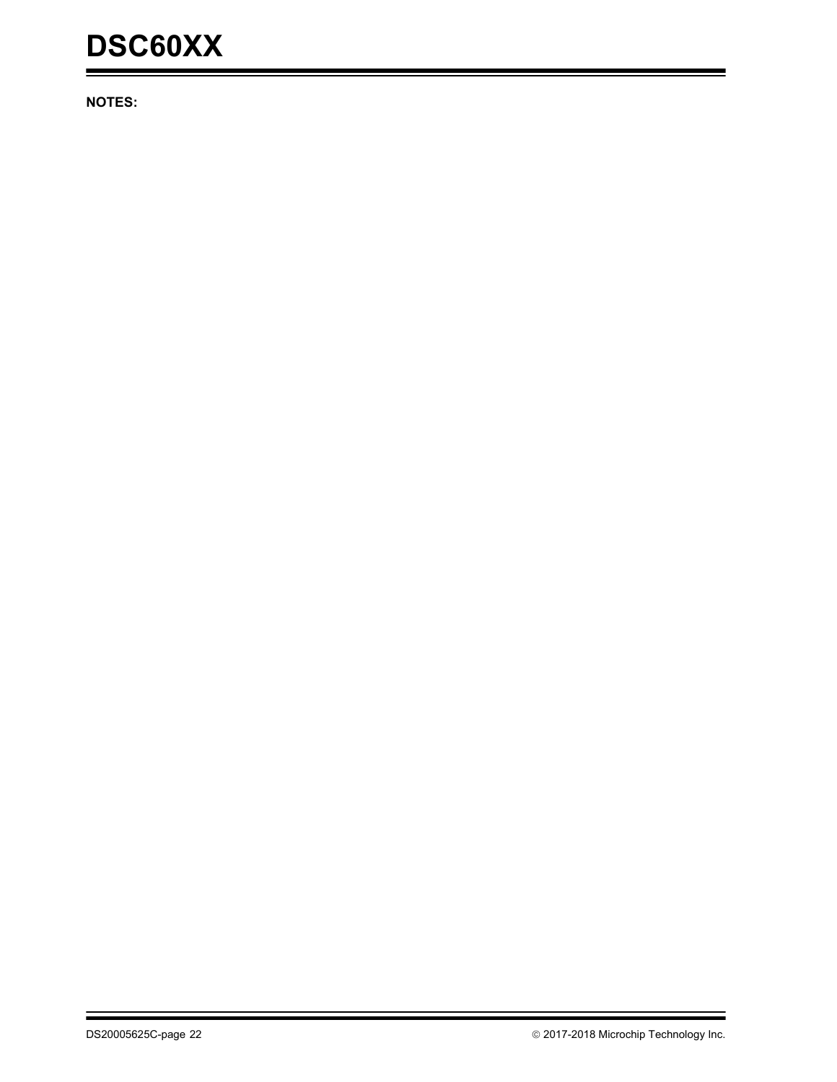# **DSC60XX**

**NOTES:**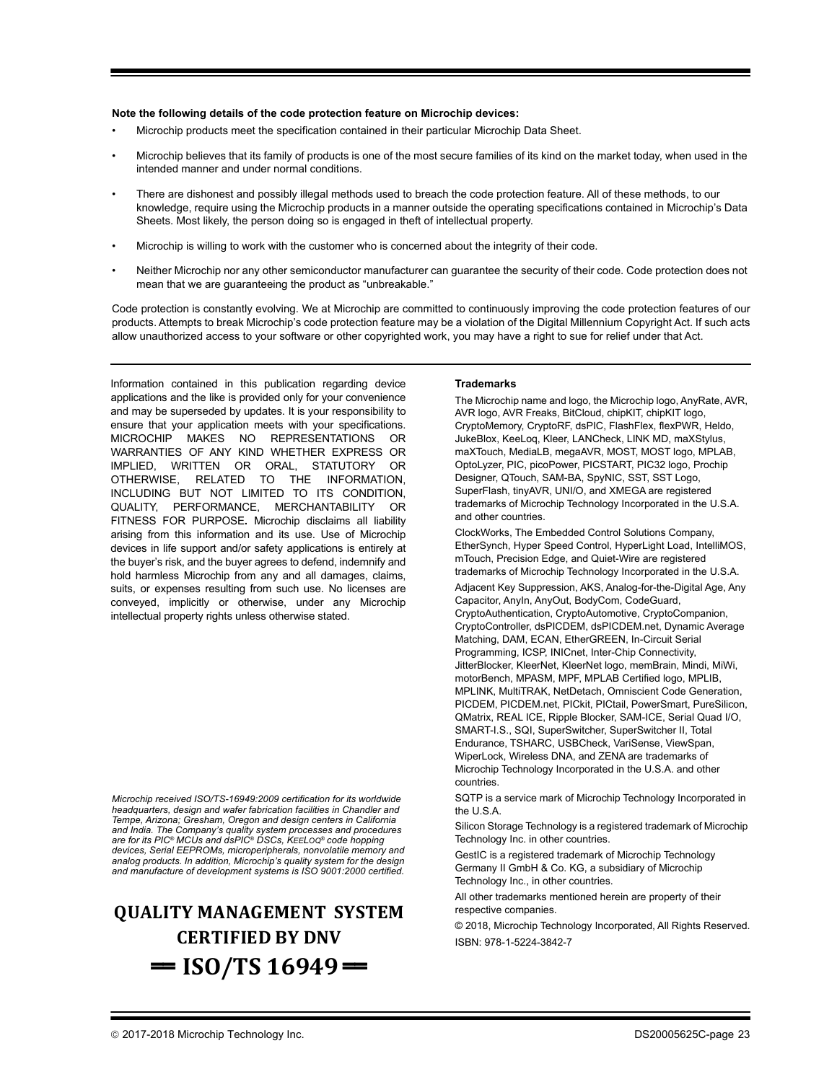#### **Note the following details of the code protection feature on Microchip devices:**

- Microchip products meet the specification contained in their particular Microchip Data Sheet.
- Microchip believes that its family of products is one of the most secure families of its kind on the market today, when used in the intended manner and under normal conditions.
- There are dishonest and possibly illegal methods used to breach the code protection feature. All of these methods, to our knowledge, require using the Microchip products in a manner outside the operating specifications contained in Microchip's Data Sheets. Most likely, the person doing so is engaged in theft of intellectual property.
- Microchip is willing to work with the customer who is concerned about the integrity of their code.
- Neither Microchip nor any other semiconductor manufacturer can guarantee the security of their code. Code protection does not mean that we are guaranteeing the product as "unbreakable."

Code protection is constantly evolving. We at Microchip are committed to continuously improving the code protection features of our products. Attempts to break Microchip's code protection feature may be a violation of the Digital Millennium Copyright Act. If such acts allow unauthorized access to your software or other copyrighted work, you may have a right to sue for relief under that Act.

Information contained in this publication regarding device applications and the like is provided only for your convenience and may be superseded by updates. It is your responsibility to ensure that your application meets with your specifications. MICROCHIP MAKES NO REPRESENTATIONS OR WARRANTIES OF ANY KIND WHETHER EXPRESS OR IMPLIED, WRITTEN OR ORAL, STATUTORY OR OTHERWISE, RELATED TO THE INFORMATION, INCLUDING BUT NOT LIMITED TO ITS CONDITION, QUALITY, PERFORMANCE, MERCHANTABILITY OR FITNESS FOR PURPOSE**.** Microchip disclaims all liability arising from this information and its use. Use of Microchip devices in life support and/or safety applications is entirely at the buyer's risk, and the buyer agrees to defend, indemnify and hold harmless Microchip from any and all damages, claims, suits, or expenses resulting from such use. No licenses are conveyed, implicitly or otherwise, under any Microchip intellectual property rights unless otherwise stated.

*Microchip received ISO/TS-16949:2009 certification for its worldwide headquarters, design and wafer fabrication facilities in Chandler and Tempe, Arizona; Gresham, Oregon and design centers in California and India. The Company's quality system processes and procedures are for its PIC® MCUs and dsPIC® DSCs, KEELOQ® code hopping devices, Serial EEPROMs, microperipherals, nonvolatile memory and analog products. In addition, Microchip's quality system for the design and manufacture of development systems is ISO 9001:2000 certified.*

# **QUALITY MANAGEMENT SYSTEM CERTIFIED BY DNV**  $=$  **ISO/TS** 16949 $=$

#### **Trademarks**

The Microchip name and logo, the Microchip logo, AnyRate, AVR, AVR logo, AVR Freaks, BitCloud, chipKIT, chipKIT logo, CryptoMemory, CryptoRF, dsPIC, FlashFlex, flexPWR, Heldo, JukeBlox, KeeLoq, Kleer, LANCheck, LINK MD, maXStylus, maXTouch, MediaLB, megaAVR, MOST, MOST logo, MPLAB, OptoLyzer, PIC, picoPower, PICSTART, PIC32 logo, Prochip Designer, QTouch, SAM-BA, SpyNIC, SST, SST Logo, SuperFlash, tinyAVR, UNI/O, and XMEGA are registered trademarks of Microchip Technology Incorporated in the U.S.A. and other countries.

ClockWorks, The Embedded Control Solutions Company, EtherSynch, Hyper Speed Control, HyperLight Load, IntelliMOS, mTouch, Precision Edge, and Quiet-Wire are registered trademarks of Microchip Technology Incorporated in the U.S.A. Adjacent Key Suppression, AKS, Analog-for-the-Digital Age, Any Capacitor, AnyIn, AnyOut, BodyCom, CodeGuard, CryptoAuthentication, CryptoAutomotive, CryptoCompanion, CryptoController, dsPICDEM, dsPICDEM.net, Dynamic Average Matching, DAM, ECAN, EtherGREEN, In-Circuit Serial Programming, ICSP, INICnet, Inter-Chip Connectivity, JitterBlocker, KleerNet, KleerNet logo, memBrain, Mindi, MiWi, motorBench, MPASM, MPF, MPLAB Certified logo, MPLIB, MPLINK, MultiTRAK, NetDetach, Omniscient Code Generation, PICDEM, PICDEM.net, PICkit, PICtail, PowerSmart, PureSilicon, QMatrix, REAL ICE, Ripple Blocker, SAM-ICE, Serial Quad I/O, SMART-I.S., SQI, SuperSwitcher, SuperSwitcher II, Total Endurance, TSHARC, USBCheck, VariSense, ViewSpan, WiperLock, Wireless DNA, and ZENA are trademarks of Microchip Technology Incorporated in the U.S.A. and other countries.

SQTP is a service mark of Microchip Technology Incorporated in the U.S.A.

Silicon Storage Technology is a registered trademark of Microchip Technology Inc. in other countries.

GestIC is a registered trademark of Microchip Technology Germany II GmbH & Co. KG, a subsidiary of Microchip Technology Inc., in other countries.

All other trademarks mentioned herein are property of their respective companies.

© 2018, Microchip Technology Incorporated, All Rights Reserved. ISBN: 978-1-5224-3842-7